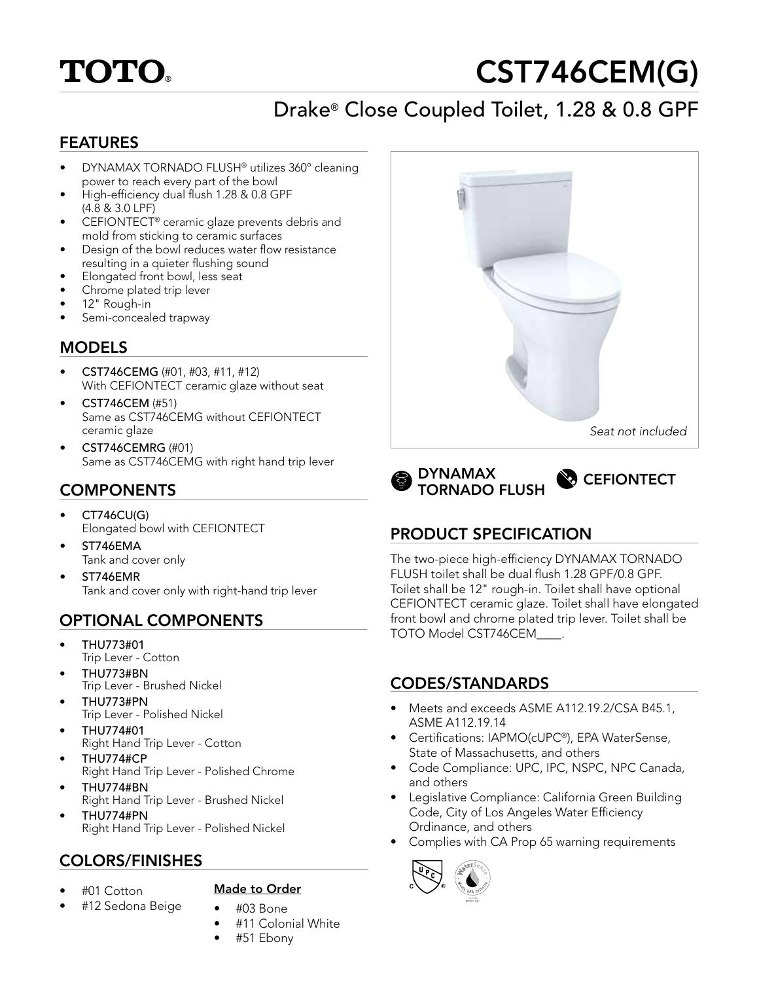

# CST746CEM(G)

# Drake® Close Coupled Toilet, 1.28 & 0.8 GPF

#### FEATURES

- DYNAMAX TORNADO FLUSH® utilizes 360º cleaning power to reach every part of the bowl
- High-efficiency dual flush 1.28 & 0.8 GPF (4.8 & 3.0 LPF)
- CEFIONTECT® ceramic glaze prevents debris and mold from sticking to ceramic surfaces
- Design of the bowl reduces water flow resistance resulting in a quieter flushing sound
- Elongated front bowl, less seat
- Chrome plated trip lever
- 12" Rough-in
- Semi-concealed trapway

#### MODELS

- CST746CEMG (#01, #03, #11, #12) With CEFIONTECT ceramic glaze without seat
- CST746CEM (#51) Same as CST746CEMG without CEFIONTECT ceramic glaze
- CST746CEMRG (#01) Same as CST746CEMG with right hand trip lever

## **COMPONENTS**

- CT746CU(G) Elongated bowl with CEFIONTECT
- ST746EMA Tank and cover only
- ST746EMR Tank and cover only with right-hand trip lever

# OPTIONAL COMPONENTS

- THU773#01 Trip Lever - Cotton
- THU773#BN Trip Lever - Brushed Nickel
- THU773#PN Trip Lever - Polished Nickel
- THU774#01 Right Hand Trip Lever - Cotton
- THU774#CP Right Hand Trip Lever - Polished Chrome
- THU774#BN Right Hand Trip Lever - Brushed Nickel
- THU774#PN Right Hand Trip Lever - Polished Nickel

## COLORS/FINISHES

• #01 Cotton

#### Made to Order

- #12 Sedona Beige
- #03 Bone • #11 Colonial White
- #51 Ebony





## PRODUCT SPECIFICATION

The two-piece high-efficiency DYNAMAX TORNADO FLUSH toilet shall be dual flush 1.28 GPF/0.8 GPF. Toilet shall be 12" rough-in. Toilet shall have optional CEFIONTECT ceramic glaze. Toilet shall have elongated front bowl and chrome plated trip lever. Toilet shall be TOTO Model CST746CEM\_\_\_\_.

#### CODES/STANDARDS

- Meets and exceeds ASME A112.19.2/CSA B45.1, ASME A112.19.14
- Certifications: IAPMO(cUPC®), EPA WaterSense, State of Massachusetts, and others
- Code Compliance: UPC, IPC, NSPC, NPC Canada, and others
- Legislative Compliance: California Green Building Code, City of Los Angeles Water Efficiency Ordinance, and others
- Complies with CA Prop 65 warning requirements